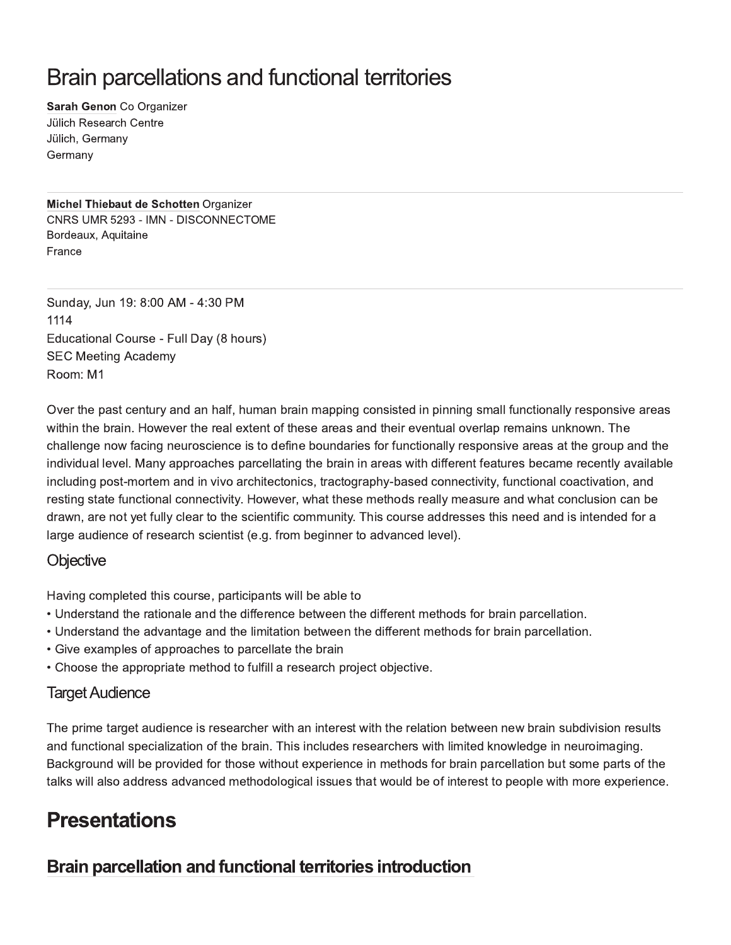# Brain parcellations and functional territories

Sarah Genon Co Organizer **Jülich Research Centre** Jülich, Germany Germany

Michel Thiebaut de Schotten Organizer CNRS UMR 5293 - IMN - DISCONNECTOME Bordeaux, Aquitaine France

Sunday, Jun 19: 8:00 AM - 4:30 PM 1114 Educational Course - Full Day (8 hours) **SEC Meeting Academy** Room: M1

Over the past century and an half, human brain mapping consisted in pinning small functionally responsive areas within the brain. However the real extent of these areas and their eventual overlap remains unknown. The challenge now facing neuroscience is to define boundaries for functionally responsive areas at the group and the individual level. Many approaches parcellating the brain in areas with different features became recently available including post-mortem and in vivo architectonics, tractography-based connectivity, functional coactivation, and resting state functional connectivity. However, what these methods really measure and what conclusion can be drawn, are not yet fully clear to the scientific community. This course addresses this need and is intended for a large audience of research scientist (e.g. from beginner to advanced level).

### **Objective**

Having completed this course, participants will be able to

- . Understand the rationale and the difference between the different methods for brain parcellation.
- . Understand the advantage and the limitation between the different methods for brain parcellation.
- Give examples of approaches to parcellate the brain
- Choose the appropriate method to fulfill a research project objective.

### **Target Audience**

The prime target audience is researcher with an interest with the relation between new brain subdivision results and functional specialization of the brain. This includes researchers with limited knowledge in neuroimaging. Background will be provided for those without experience in methods for brain parcellation but some parts of the talks will also address advanced methodological issues that would be of interest to people with more experience.

# **Presentations**

### Brain parcellation and functional territories introduction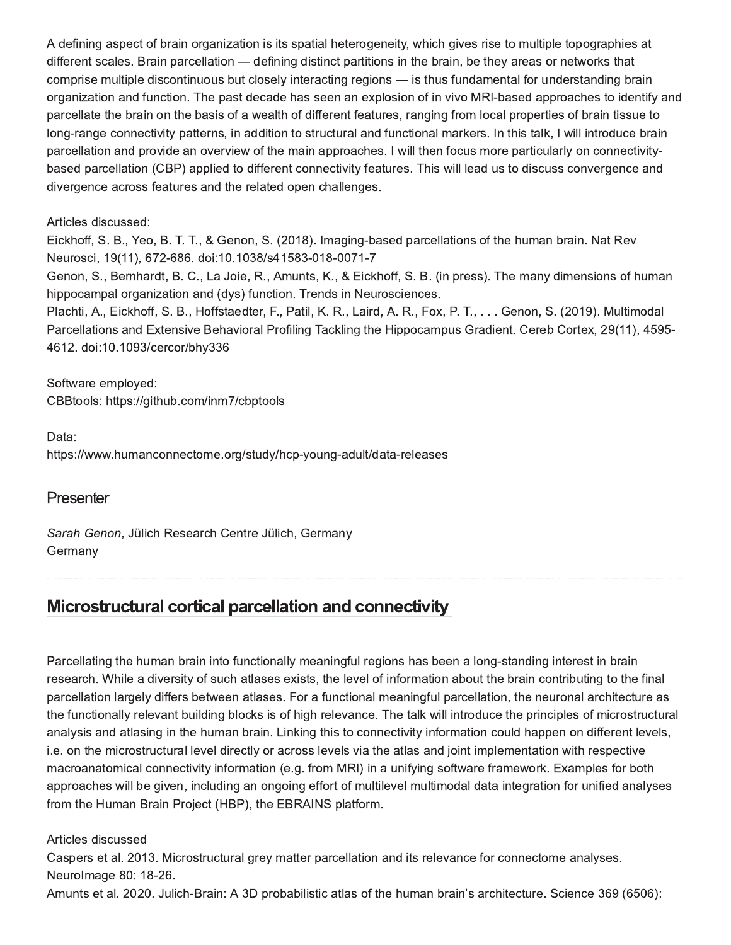A defining aspect of brain organization is its spatial heterogeneity, which gives rise to multiple topographies at different scales. Brain parcellation — defining distinct partitions in the brain, be they areas or networks that comprise multiple discontinuous but closely interacting regions - is thus fundamental for understanding brain organization and function. The past decade has seen an explosion of in vivo MRI-based approaches to identify and parcellate the brain on the basis of a wealth of different features, ranging from local properties of brain tissue to long-range connectivity patterns, in addition to structural and functional markers. In this talk, I will introduce brain parcellation and provide an overview of the main approaches. I will then focus more particularly on connectivitybased parcellation (CBP) applied to different connectivity features. This will lead us to discuss convergence and divergence across features and the related open challenges.

#### Articles discussed:

Eickhoff, S. B., Yeo, B. T. T., & Genon, S. (2018). Imaging-based parcellations of the human brain. Nat Rev Neurosci, 19(11), 672-686. doi:10.1038/s41583-018-0071-7

Genon, S., Bernhardt, B. C., La Joie, R., Amunts, K., & Eickhoff, S. B. (in press). The many dimensions of human hippocampal organization and (dys) function. Trends in Neurosciences.

Plachti, A., Eickhoff, S. B., Hoffstaedter, F., Patil, K. R., Laird, A. R., Fox, P. T., ... Genon, S. (2019). Multimodal Parcellations and Extensive Behavioral Profiling Tackling the Hippocampus Gradient. Cereb Cortex, 29(11), 4595-4612. doi:10.1093/cercor/bhy336

Software employed: CBBtools: https://github.com/inm7/cbptools

Data: https://www.humanconnectome.org/study/hcp-young-adult/data-releases

#### Presenter

Sarah Genon, Jülich Research Centre Jülich, Germany Germany

# Microstructural cortical parcellation and connectivity

Parcellating the human brain into functionally meaningful regions has been a long-standing interest in brain research. While a diversity of such atlases exists, the level of information about the brain contributing to the final parcellation largely differs between atlases. For a functional meaningful parcellation, the neuronal architecture as the functionally relevant building blocks is of high relevance. The talk will introduce the principles of microstructural analysis and atlasing in the human brain. Linking this to connectivity information could happen on different levels, i.e. on the microstructural level directly or across levels via the atlas and joint implementation with respective macroanatomical connectivity information (e.g. from MRI) in a unifying software framework. Examples for both approaches will be given, including an ongoing effort of multilevel multimodal data integration for unified analyses from the Human Brain Project (HBP), the EBRAINS platform.

#### Articles discussed

Caspers et al. 2013. Microstructural grey matter parcellation and its relevance for connectome analyses. Neurolmage 80: 18-26.

Amunts et al. 2020. Julich-Brain: A 3D probabilistic atlas of the human brain's architecture. Science 369 (6506):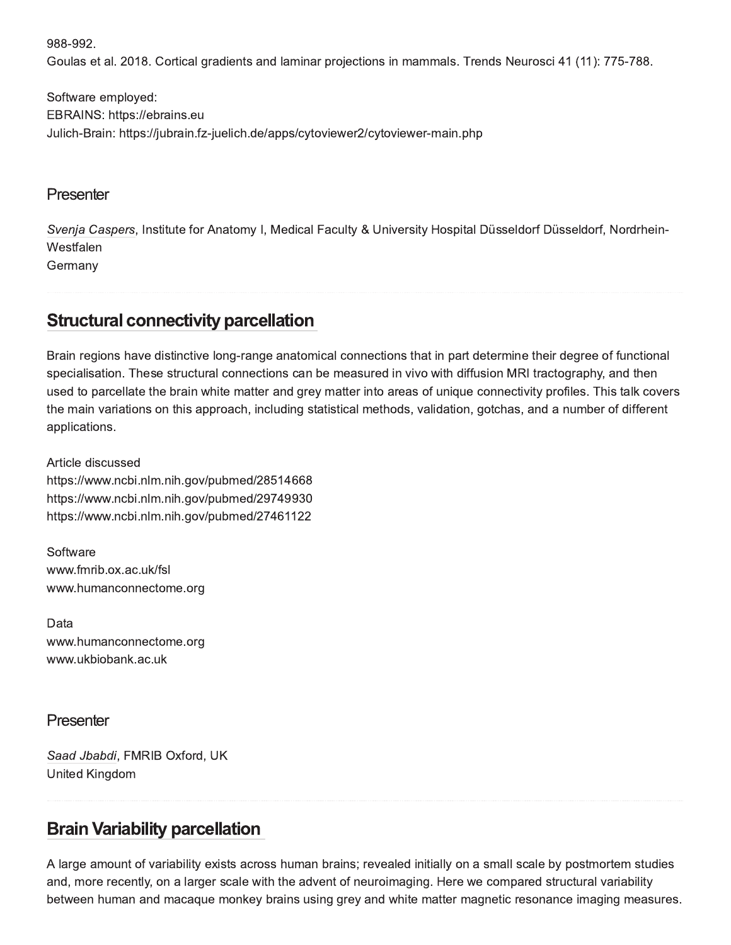988-992.

Goulas et al. 2018. Cortical gradients and laminar projections in mammals. Trends Neurosci 41 (11): 775-788.

Software employed: EBRAINS: https://ebrains.eu Julich-Brain: https://jubrain.fz-juelich.de/apps/cytoviewer2/cytoviewer-main.php

#### Presenter

Svenja Caspers, Institute for Anatomy I, Medical Faculty & University Hospital Düsseldorf Düsseldorf, Nordrhein-Westfalen Germany

# **Structural connectivity parcellation**

Brain regions have distinctive long-range anatomical connections that in part determine their degree of functional specialisation. These structural connections can be measured in vivo with diffusion MRI tractography, and then used to parcellate the brain white matter and grey matter into areas of unique connectivity profiles. This talk covers the main variations on this approach, including statistical methods, validation, gotchas, and a number of different applications.

Article discussed https://www.ncbi.nlm.nih.gov/pubmed/28514668 https://www.ncbi.nlm.nih.gov/pubmed/29749930 https://www.ncbi.nlm.nih.gov/pubmed/27461122

Software www.fmrib.ox.ac.uk/fsl www.humanconnectome.org

Data www.humanconnectome.org www.ukbiobank.ac.uk

### Presenter

Saad Jbabdi, FMRIB Oxford, UK **United Kingdom** 

# **Brain Variability parcellation**

A large amount of variability exists across human brains; revealed initially on a small scale by postmortem studies and, more recently, on a larger scale with the advent of neuroimaging. Here we compared structural variability between human and macaque monkey brains using grey and white matter magnetic resonance imaging measures.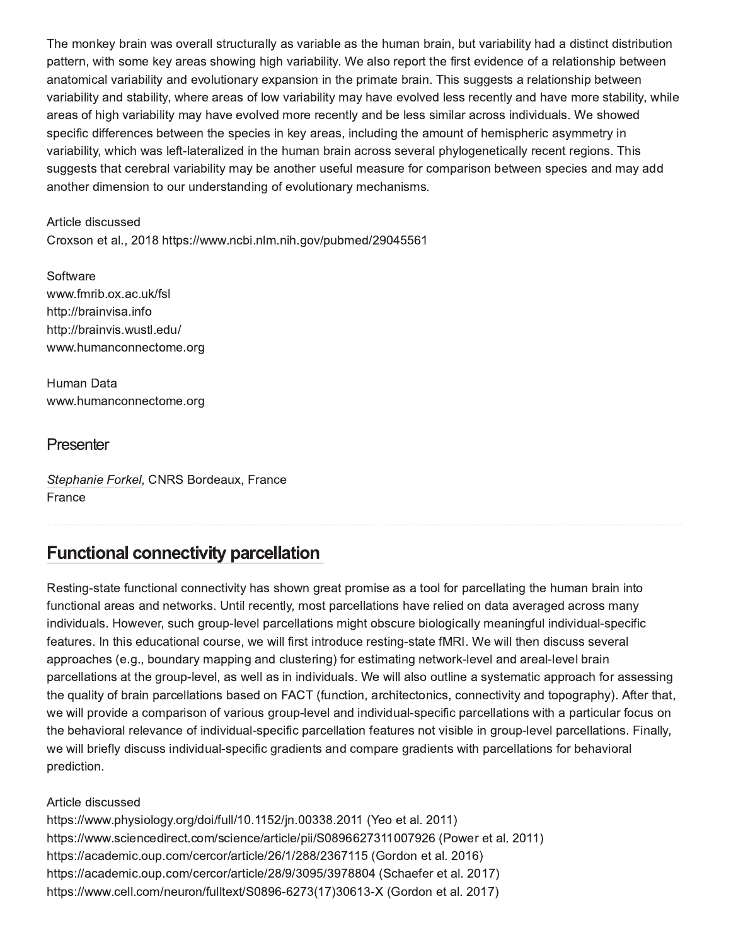The monkey brain was overall structurally as variable as the human brain, but variability had a distinct distribution pattern, with some key areas showing high variability. We also report the first evidence of a relationship between anatomical variability and evolutionary expansion in the primate brain. This suggests a relationship between variability and stability, where areas of low variability may have evolved less recently and have more stability, while areas of high variability may have evolved more recently and be less similar across individuals. We showed specific differences between the species in key areas, including the amount of hemispheric asymmetry in variability, which was left-lateralized in the human brain across several phylogenetically recent regions. This suggests that cerebral variability may be another useful measure for comparison between species and may add another dimension to our understanding of evolutionary mechanisms.

Article discussed

Croxson et al., 2018 https://www.ncbi.nlm.nih.gov/pubmed/29045561

Software www.fmrib.ox.ac.uk/fsl http://brainvisa.info http://brainvis.wustl.edu/ www.humanconnectome.org

Human Data www.humanconnectome.org

### Presenter

Stephanie Forkel, CNRS Bordeaux, France France

# **Functional connectivity parcellation**

Resting-state functional connectivity has shown great promise as a tool for parcellating the human brain into functional areas and networks. Until recently, most parcellations have relied on data averaged across many individuals. However, such group-level parcellations might obscure biologically meaningful individual-specific features. In this educational course, we will first introduce resting-state fMRI. We will then discuss several approaches (e.g., boundary mapping and clustering) for estimating network-level and areal-level brain parcellations at the group-level, as well as in individuals. We will also outline a systematic approach for assessing the quality of brain parcellations based on FACT (function, architectonics, connectivity and topography). After that, we will provide a comparison of various group-level and individual-specific parcellations with a particular focus on the behavioral relevance of individual-specific parcellation features not visible in group-level parcellations. Finally, we will briefly discuss individual-specific gradients and compare gradients with parcellations for behavioral prediction.

Article discussed

https://www.physiology.org/doi/full/10.1152/jn.00338.2011 (Yeo et al. 2011) https://www.sciencedirect.com/science/article/pii/S0896627311007926 (Power et al. 2011) https://academic.oup.com/cercor/article/26/1/288/2367115 (Gordon et al. 2016) https://academic.oup.com/cercor/article/28/9/3095/3978804 (Schaefer et al. 2017) https://www.cell.com/neuron/fulltext/S0896-6273(17)30613-X (Gordon et al. 2017)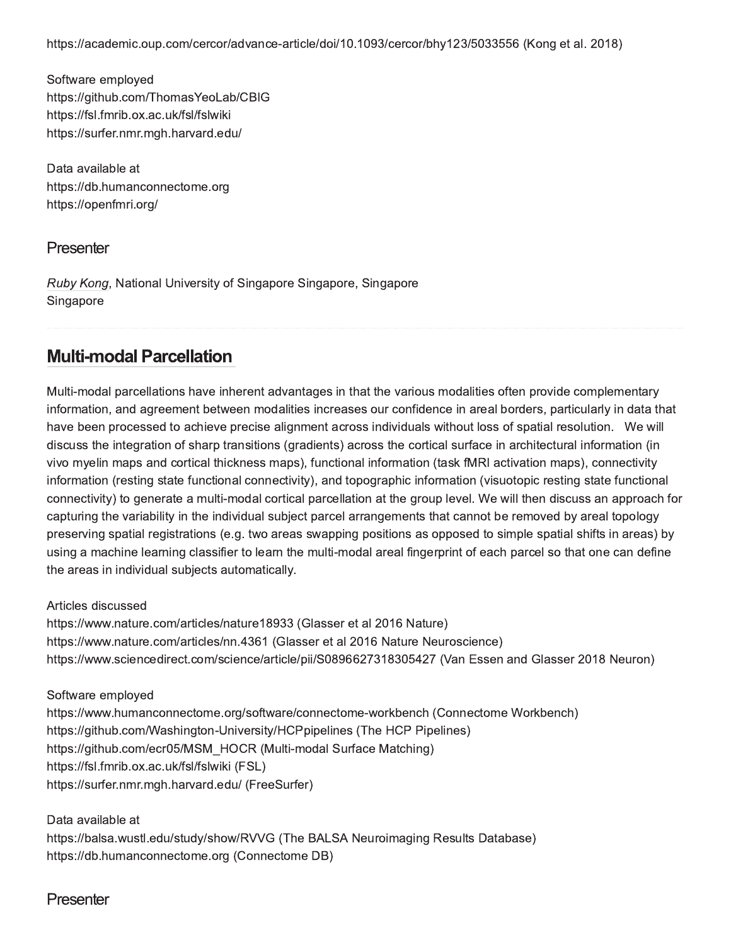https://academic.oup.com/cercor/advance-article/doi/10.1093/cercor/bhy123/5033556 (Kong et al. 2018)

Software employed https://github.com/ThomasYeoLab/CBIG https://fsl.fmrib.ox.ac.uk/fsl/fslwiki https://surfer.nmr.mgh.harvard.edu/

Data available at https://db.humanconnectome.org https://openfmri.org/

#### **Presenter**

Ruby Kong, National University of Singapore Singapore, Singapore Singapore

### **Multi-modal Parcellation**

Multi-modal parcellations have inherent advantages in that the various modalities often provide complementary information, and agreement between modalities increases our confidence in areal borders, particularly in data that have been processed to achieve precise alignment across individuals without loss of spatial resolution. We will discuss the integration of sharp transitions (gradients) across the cortical surface in architectural information (in vivo myelin maps and cortical thickness maps), functional information (task fMRI activation maps), connectivity information (resting state functional connectivity), and topographic information (visuotopic resting state functional connectivity) to generate a multi-modal cortical parcellation at the group level. We will then discuss an approach for capturing the variability in the individual subject parcel arrangements that cannot be removed by areal topology preserving spatial registrations (e.g. two areas swapping positions as opposed to simple spatial shifts in areas) by using a machine learning classifier to learn the multi-modal areal fingerprint of each parcel so that one can define the areas in individual subjects automatically.

Articles discussed

https://www.nature.com/articles/nature18933 (Glasser et al 2016 Nature) https://www.nature.com/articles/nn.4361 (Glasser et al 2016 Nature Neuroscience) https://www.sciencedirect.com/science/article/pii/S0896627318305427 (Van Essen and Glasser 2018 Neuron)

Software employed https://www.humanconnectome.org/software/connectome-workbench (Connectome Workbench) https://github.com/Washington-University/HCPpipelines (The HCP Pipelines) https://github.com/ecr05/MSM\_HOCR (Multi-modal Surface Matching) https://fsl.fmrib.ox.ac.uk/fsl/fslwiki (FSL) https://surfer.nmr.mgh.harvard.edu/ (FreeSurfer)

Data available at https://balsa.wustl.edu/study/show/RVVG (The BALSA Neuroimaging Results Database) https://db.humanconnectome.org (Connectome DB)

#### Presenter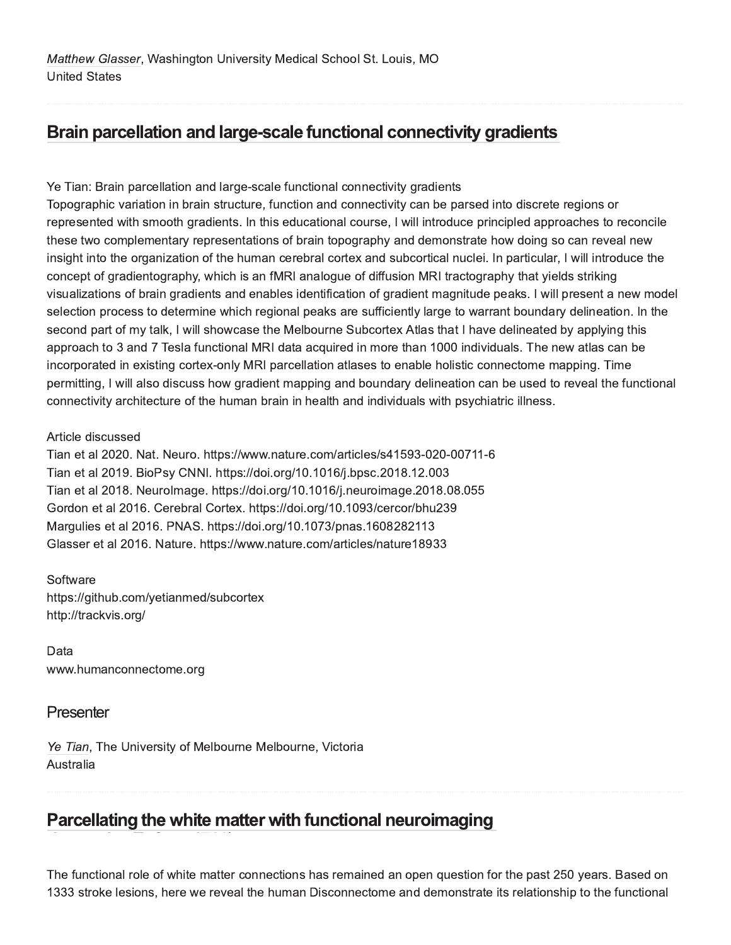# Brain parcellation and large-scale functional connectivity gradients

Ye Tian: Brain parcellation and large-scale functional connectivity gradients

Topographic variation in brain structure, function and connectivity can be parsed into discrete regions or represented with smooth gradients. In this educational course, I will introduce principled approaches to reconcile these two complementary representations of brain topography and demonstrate how doing so can reveal new insight into the organization of the human cerebral cortex and subcortical nuclei. In particular, I will introduce the concept of gradientography, which is an fMRI analogue of diffusion MRI tractography that yields striking visualizations of brain gradients and enables identification of gradient magnitude peaks. I will present a new model selection process to determine which regional peaks are sufficiently large to warrant boundary delineation. In the second part of my talk, I will showcase the Melbourne Subcortex Atlas that I have delineated by applying this approach to 3 and 7 Tesla functional MRI data acquired in more than 1000 individuals. The new atlas can be incorporated in existing cortex-only MRI parcellation atlases to enable holistic connectome mapping. Time permitting, I will also discuss how gradient mapping and boundary delineation can be used to reveal the functional connectivity architecture of the human brain in health and individuals with psychiatric illness.

#### Article discussed

Tian et al 2020. Nat. Neuro. https://www.nature.com/articles/s41593-020-00711-6 Tian et al 2019. BioPsy CNNI. https://doi.org/10.1016/j.bpsc.2018.12.003 Tian et al 2018. Neurolmage. https://doi.org/10.1016/j.neuroimage.2018.08.055 Gordon et al 2016. Cerebral Cortex. https://doi.org/10.1093/cercor/bhu239 Margulies et al 2016. PNAS. https://doi.org/10.1073/pnas.1608282113 Glasser et al 2016. Nature. https://www.nature.com/articles/nature18933

Software https://github.com/yetianmed/subcortex http://trackvis.org/

Data www.humanconnectome.org

### Presenter

Ye Tian, The University of Melbourne Melbourne, Victoria Australia

# Parcellating the white matter with functional neuroimaging

The functional role of white matter connections has remained an open question for the past 250 years. Based on 1333 stroke lesions, here we reveal the human Disconnectome and demonstrate its relationship to the functional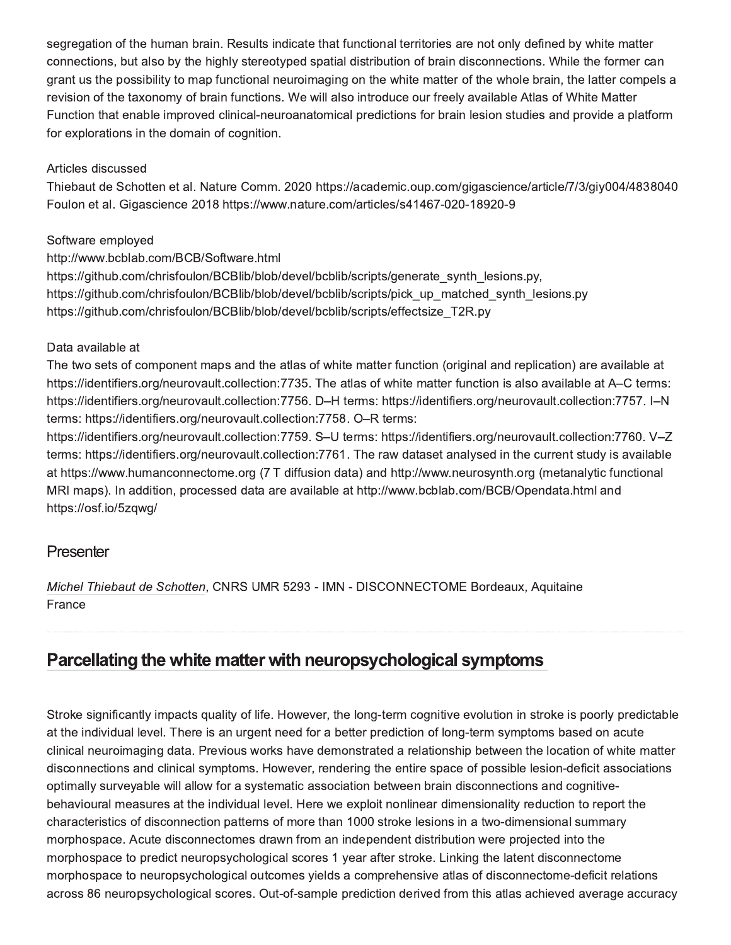segregation of the human brain. Results indicate that functional territories are not only defined by white matter connections, but also by the highly stereotyped spatial distribution of brain disconnections. While the former can grant us the possibility to map functional neuroimaging on the white matter of the whole brain, the latter compels a revision of the taxonomy of brain functions. We will also introduce our freely available Atlas of White Matter Function that enable improved clinical-neuroanatomical predictions for brain lesion studies and provide a platform for explorations in the domain of cognition.

#### Articles discussed

Thiebaut de Schotten et al. Nature Comm. 2020 https://academic.oup.com/gigascience/article/7/3/giy004/4838040 Foulon et al. Gigascience 2018 https://www.nature.com/articles/s41467-020-18920-9

#### Software employed

http://www.bcblab.com/BCB/Software.html

https://github.com/chrisfoulon/BCBlib/blob/devel/bcblib/scripts/generate synth lesions.py, https://github.com/chrisfoulon/BCBlib/blob/devel/bcblib/scripts/pick up matched synth lesions.py https://github.com/chrisfoulon/BCBlib/blob/devel/bcblib/scripts/effectsize T2R.py

#### Data available at

The two sets of component maps and the atlas of white matter function (original and replication) are available at https://identifiers.org/neurovault.collection:7735. The atlas of white matter function is also available at A–C terms: https://identifiers.org/neurovault.collection:7756. D-H terms: https://identifiers.org/neurovault.collection:7757. I-N terms: https://identifiers.org/neurovault.collection:7758. O-R terms:

https://identifiers.org/neurovault.collection:7759. S-U terms: https://identifiers.org/neurovault.collection:7760. V-Z terms: https://identifiers.org/neurovault.collection:7761. The raw dataset analysed in the current study is available at https://www.humanconnectome.org (7 T diffusion data) and http://www.neurosynth.org (metanalytic functional MRI maps). In addition, processed data are available at http://www.bcblab.com/BCB/Opendata.html and https://osf.io/5zqwg/

#### Presenter

Michel Thiebaut de Schotten, CNRS UMR 5293 - IMN - DISCONNECTOME Bordeaux, Aquitaine France

# Parcellating the white matter with neuropsychological symptoms

Stroke significantly impacts quality of life. However, the long-term cognitive evolution in stroke is poorly predictable at the individual level. There is an urgent need for a better prediction of long-term symptoms based on acute clinical neuroimaging data. Previous works have demonstrated a relationship between the location of white matter disconnections and clinical symptoms. However, rendering the entire space of possible lesion-deficit associations optimally surveyable will allow for a systematic association between brain disconnections and cognitivebehavioural measures at the individual level. Here we exploit nonlinear dimensionality reduction to report the characteristics of disconnection patterns of more than 1000 stroke lesions in a two-dimensional summary morphospace. Acute disconnectomes drawn from an independent distribution were projected into the morphospace to predict neuropsychological scores 1 year after stroke. Linking the latent disconnectome morphospace to neuropsychological outcomes yields a comprehensive atlas of disconnectome-deficit relations across 86 neuropsychological scores. Out-of-sample prediction derived from this atlas achieved average accuracy